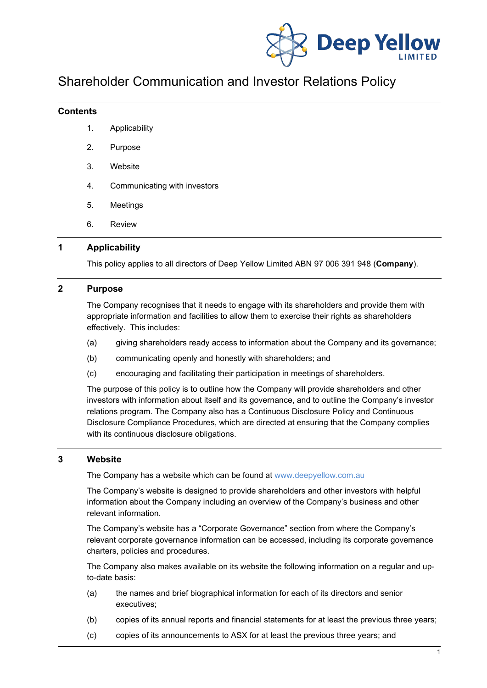

# Shareholder Communication and Investor Relations Policy

#### **Contents**

- 1. Applicability
- 2. Purpose
- 3. Website
- 4. Communicating with investors
- 5. Meetings
- 6. Review

# **1 Applicability**

This policy applies to all directors of Deep Yellow Limited ABN 97 006 391 948 (**Company**).

# **2 Purpose**

The Company recognises that it needs to engage with its shareholders and provide them with appropriate information and facilities to allow them to exercise their rights as shareholders effectively. This includes:

- (a) giving shareholders ready access to information about the Company and its governance;
- (b) communicating openly and honestly with shareholders; and
- (c) encouraging and facilitating their participation in meetings of shareholders.

The purpose of this policy is to outline how the Company will provide shareholders and other investors with information about itself and its governance, and to outline the Company's investor relations program. The Company also has a Continuous Disclosure Policy and Continuous Disclosure Compliance Procedures, which are directed at ensuring that the Company complies with its continuous disclosure obligations.

#### **3 Website**

The Company has a website which can be found at [www.deepyellow.com.au](http://www.deepyellow.com.au/)

The Company's website is designed to provide shareholders and other investors with helpful information about the Company including an overview of the Company's business and other relevant information.

The Company's website has a "Corporate Governance" section from where the Company's relevant corporate governance information can be accessed, including its corporate governance charters, policies and procedures.

The Company also makes available on its website the following information on a regular and upto-date basis:

- (a) the names and brief biographical information for each of its directors and senior executives;
- (b) copies of its annual reports and financial statements for at least the previous three years;
- (c) copies of its announcements to ASX for at least the previous three years; and